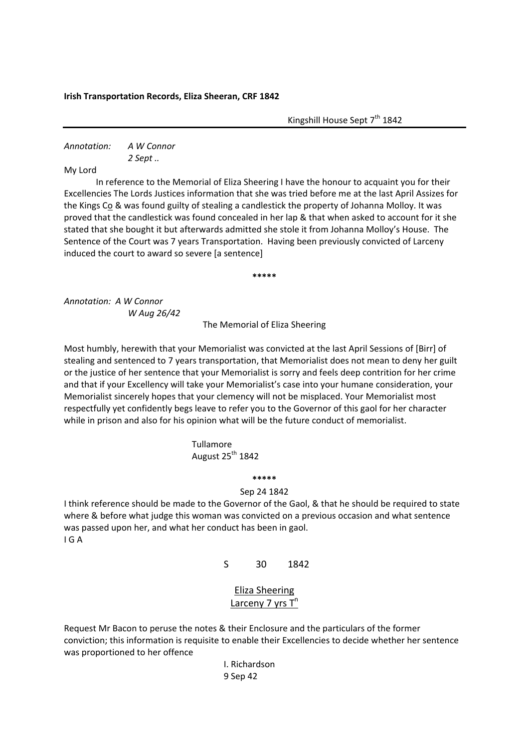## **Irish Transportation Records, Eliza Sheeran, CRF 1842**

Kingshill House Sept  $7<sup>th</sup> 1842$ 

*Annotation: A W Connor 2 Sept ..*

My Lord

In reference to the Memorial of Eliza Sheering I have the honour to acquaint you for their Excellencies The Lords Justices information that she was tried before me at the last April Assizes for the Kings Co & was found guilty of stealing a candlestick the property of Johanna Molloy. It was proved that the candlestick was found concealed in her lap & that when asked to account for it she stated that she bought it but afterwards admitted she stole it from Johanna Molloy's House. The Sentence of the Court was 7 years Transportation. Having been previously convicted of Larceny induced the court to award so severe [a sentence]

**\*\*\*\*\***

*Annotation: A W Connor W Aug 26/42*

The Memorial of Eliza Sheering

Most humbly, herewith that your Memorialist was convicted at the last April Sessions of [Birr] of stealing and sentenced to 7 years transportation, that Memorialist does not mean to deny her guilt or the justice of her sentence that your Memorialist is sorry and feels deep contrition for her crime and that if your Excellency will take your Memorialist's case into your humane consideration, your Memorialist sincerely hopes that your clemency will not be misplaced. Your Memorialist most respectfully yet confidently begs leave to refer you to the Governor of this gaol for her character while in prison and also for his opinion what will be the future conduct of memorialist.

## Tullamore August  $25^{th}$  1842

**\*\*\*\*\***

## Sep 24 1842

I think reference should be made to the Governor of the Gaol, & that he should be required to state where & before what judge this woman was convicted on a previous occasion and what sentence was passed upon her, and what her conduct has been in gaol. I G A

S 30 1842

Eliza Sheering Larceny  $7$  yrs  $T^n$ 

Request Mr Bacon to peruse the notes & their Enclosure and the particulars of the former conviction; this information is requisite to enable their Excellencies to decide whether her sentence was proportioned to her offence

> I. Richardson 9 Sep 42